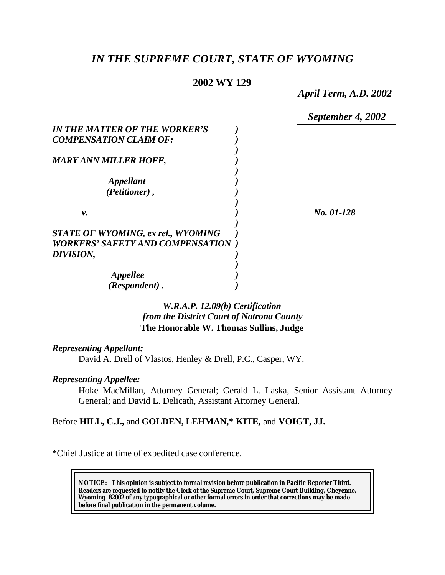# *IN THE SUPREME COURT, STATE OF WYOMING*

## **2002 WY 129**

*April Term, A.D. 2002*

*September 4, 2002*

| IN THE MATTER OF THE WORKER'S             |            |
|-------------------------------------------|------------|
| <b>COMPENSATION CLAIM OF:</b>             |            |
|                                           |            |
| <b>MARY ANN MILLER HOFF,</b>              |            |
|                                           |            |
| Appellant                                 |            |
| (Petitioner),                             |            |
|                                           |            |
| ν.                                        | No. 01-128 |
|                                           |            |
| <b>STATE OF WYOMING, ex rel., WYOMING</b> |            |
| <b>WORKERS' SAFETY AND COMPENSATION</b>   |            |
| DIVISION,                                 |            |
|                                           |            |
| Appellee                                  |            |
| (Respondent).                             |            |

# *W.R.A.P. 12.09(b) Certification from the District Court of Natrona County* **The Honorable W. Thomas Sullins, Judge**

#### *Representing Appellant:*

David A. Drell of Vlastos, Henley & Drell, P.C., Casper, WY.

#### *Representing Appellee:*

Hoke MacMillan, Attorney General; Gerald L. Laska, Senior Assistant Attorney General; and David L. Delicath, Assistant Attorney General.

### Before **HILL, C.J.,** and **GOLDEN, LEHMAN,\* KITE,** and **VOIGT, JJ.**

\*Chief Justice at time of expedited case conference.

**NOTICE:** *This opinion is subject to formal revision before publication in Pacific Reporter Third. Readers are requested to notify the Clerk of the Supreme Court, Supreme Court Building, Cheyenne, Wyoming 82002 of any typographical or other formal errors in order that corrections may be made before final publication in the permanent volume.*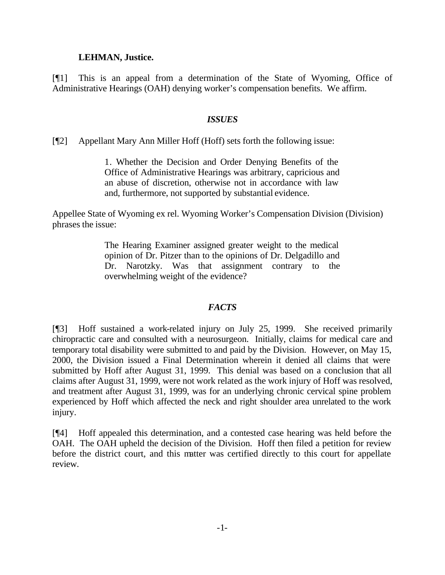#### **LEHMAN, Justice.**

[¶1] This is an appeal from a determination of the State of Wyoming, Office of Administrative Hearings (OAH) denying worker's compensation benefits. We affirm.

#### *ISSUES*

[¶2] Appellant Mary Ann Miller Hoff (Hoff) sets forth the following issue:

1. Whether the Decision and Order Denying Benefits of the Office of Administrative Hearings was arbitrary, capricious and an abuse of discretion, otherwise not in accordance with law and, furthermore, not supported by substantial evidence.

Appellee State of Wyoming ex rel. Wyoming Worker's Compensation Division (Division) phrases the issue:

> The Hearing Examiner assigned greater weight to the medical opinion of Dr. Pitzer than to the opinions of Dr. Delgadillo and Dr. Narotzky. Was that assignment contrary to the overwhelming weight of the evidence?

### *FACTS*

[¶3] Hoff sustained a work-related injury on July 25, 1999. She received primarily chiropractic care and consulted with a neurosurgeon. Initially, claims for medical care and temporary total disability were submitted to and paid by the Division. However, on May 15, 2000, the Division issued a Final Determination wherein it denied all claims that were submitted by Hoff after August 31, 1999. This denial was based on a conclusion that all claims after August 31, 1999, were not work related as the work injury of Hoff was resolved, and treatment after August 31, 1999, was for an underlying chronic cervical spine problem experienced by Hoff which affected the neck and right shoulder area unrelated to the work injury.

[¶4] Hoff appealed this determination, and a contested case hearing was held before the OAH. The OAH upheld the decision of the Division. Hoff then filed a petition for review before the district court, and this matter was certified directly to this court for appellate review.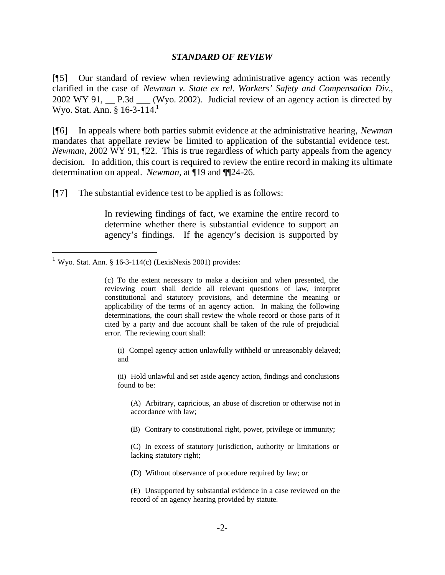#### *STANDARD OF REVIEW*

[¶5] Our standard of review when reviewing administrative agency action was recently clarified in the case of *Newman v. State ex rel. Workers' Safety and Compensation Div.*, 2002 WY 91, \_\_ P.3d \_\_\_ (Wyo. 2002). Judicial review of an agency action is directed by Wyo. Stat. Ann. §  $16-3-114$ <sup>1</sup>

[¶6] In appeals where both parties submit evidence at the administrative hearing, *Newman* mandates that appellate review be limited to application of the substantial evidence test. *Newman*, 2002 WY 91,  $\mathbb{I}22$ . This is true regardless of which party appeals from the agency decision. In addition, this court is required to review the entire record in making its ultimate determination on appeal. *Newman*, at ¶19 and ¶¶24-26.

[¶7] The substantial evidence test to be applied is as follows:

In reviewing findings of fact, we examine the entire record to determine whether there is substantial evidence to support an agency's findings. If the agency's decision is supported by

l

(i) Compel agency action unlawfully withheld or unreasonably delayed; and

(ii) Hold unlawful and set aside agency action, findings and conclusions found to be:

(A) Arbitrary, capricious, an abuse of discretion or otherwise not in accordance with law;

(B) Contrary to constitutional right, power, privilege or immunity;

(C) In excess of statutory jurisdiction, authority or limitations or lacking statutory right;

(D) Without observance of procedure required by law; or

(E) Unsupported by substantial evidence in a case reviewed on the record of an agency hearing provided by statute.

<sup>&</sup>lt;sup>1</sup> Wyo. Stat. Ann. § 16-3-114(c) (LexisNexis 2001) provides:

<sup>(</sup>c) To the extent necessary to make a decision and when presented, the reviewing court shall decide all relevant questions of law, interpret constitutional and statutory provisions, and determine the meaning or applicability of the terms of an agency action. In making the following determinations, the court shall review the whole record or those parts of it cited by a party and due account shall be taken of the rule of prejudicial error. The reviewing court shall: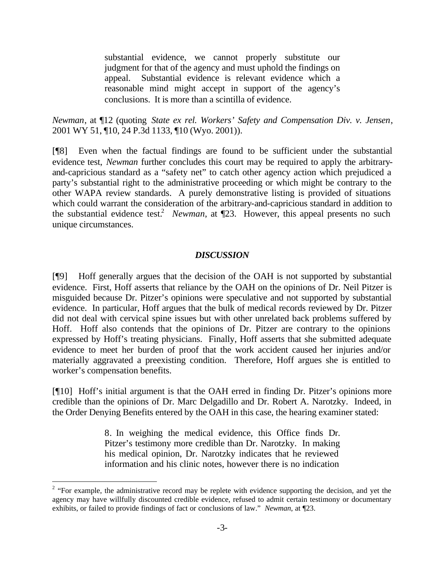substantial evidence, we cannot properly substitute our judgment for that of the agency and must uphold the findings on appeal. Substantial evidence is relevant evidence which a reasonable mind might accept in support of the agency's conclusions. It is more than a scintilla of evidence.

*Newman*, at ¶12 (quoting *State ex rel. Workers' Safety and Compensation Div. v. Jensen*, 2001 WY 51, ¶10, 24 P.3d 1133, ¶10 (Wyo. 2001)).

[¶8] Even when the factual findings are found to be sufficient under the substantial evidence test, *Newman* further concludes this court may be required to apply the arbitraryand-capricious standard as a "safety net" to catch other agency action which prejudiced a party's substantial right to the administrative proceeding or which might be contrary to the other WAPA review standards. A purely demonstrative listing is provided of situations which could warrant the consideration of the arbitrary-and-capricious standard in addition to the substantial evidence test.<sup>2</sup> *Newman*, at  $\P$ 23. However, this appeal presents no such unique circumstances.

### *DISCUSSION*

[¶9] Hoff generally argues that the decision of the OAH is not supported by substantial evidence. First, Hoff asserts that reliance by the OAH on the opinions of Dr. Neil Pitzer is misguided because Dr. Pitzer's opinions were speculative and not supported by substantial evidence. In particular, Hoff argues that the bulk of medical records reviewed by Dr. Pitzer did not deal with cervical spine issues but with other unrelated back problems suffered by Hoff. Hoff also contends that the opinions of Dr. Pitzer are contrary to the opinions expressed by Hoff's treating physicians. Finally, Hoff asserts that she submitted adequate evidence to meet her burden of proof that the work accident caused her injuries and/or materially aggravated a preexisting condition. Therefore, Hoff argues she is entitled to worker's compensation benefits.

[¶10] Hoff's initial argument is that the OAH erred in finding Dr. Pitzer's opinions more credible than the opinions of Dr. Marc Delgadillo and Dr. Robert A. Narotzky. Indeed, in the Order Denying Benefits entered by the OAH in this case, the hearing examiner stated:

> 8. In weighing the medical evidence, this Office finds Dr. Pitzer's testimony more credible than Dr. Narotzky. In making his medical opinion, Dr. Narotzky indicates that he reviewed information and his clinic notes, however there is no indication

 $2^2$  "For example, the administrative record may be replete with evidence supporting the decision, and yet the agency may have willfully discounted credible evidence, refused to admit certain testimony or documentary exhibits, or failed to provide findings of fact or conclusions of law." *Newman*, at ¶23.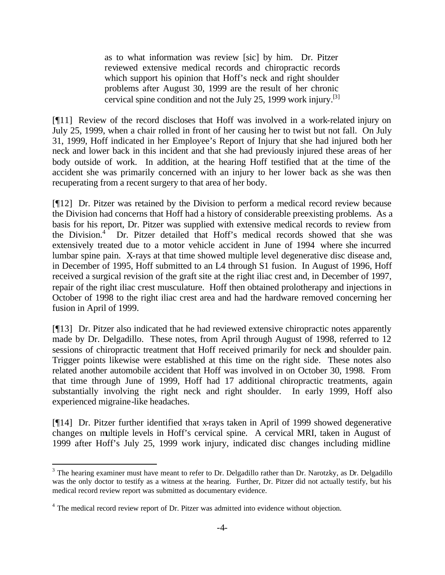as to what information was review [sic] by him. Dr. Pitzer reviewed extensive medical records and chiropractic records which support his opinion that Hoff's neck and right shoulder problems after August 30, 1999 are the result of her chronic cervical spine condition and not the July 25, 1999 work injury.<sup>[3]</sup>

[¶11] Review of the record discloses that Hoff was involved in a work-related injury on July 25, 1999, when a chair rolled in front of her causing her to twist but not fall. On July 31, 1999, Hoff indicated in her Employee's Report of Injury that she had injured both her neck and lower back in this incident and that she had previously injured these areas of her body outside of work. In addition, at the hearing Hoff testified that at the time of the accident she was primarily concerned with an injury to her lower back as she was then recuperating from a recent surgery to that area of her body.

[¶12] Dr. Pitzer was retained by the Division to perform a medical record review because the Division had concerns that Hoff had a history of considerable preexisting problems. As a basis for his report, Dr. Pitzer was supplied with extensive medical records to review from the Division.<sup>4</sup> Dr. Pitzer detailed that Hoff's medical records showed that she was extensively treated due to a motor vehicle accident in June of 1994 where she incurred lumbar spine pain. X-rays at that time showed multiple level degenerative disc disease and, in December of 1995, Hoff submitted to an L4 through S1 fusion. In August of 1996, Hoff received a surgical revision of the graft site at the right iliac crest and, in December of 1997, repair of the right iliac crest musculature. Hoff then obtained prolotherapy and injections in October of 1998 to the right iliac crest area and had the hardware removed concerning her fusion in April of 1999.

[¶13] Dr. Pitzer also indicated that he had reviewed extensive chiropractic notes apparently made by Dr. Delgadillo. These notes, from April through August of 1998, referred to 12 sessions of chiropractic treatment that Hoff received primarily for neck and shoulder pain. Trigger points likewise were established at this time on the right side. These notes also related another automobile accident that Hoff was involved in on October 30, 1998. From that time through June of 1999, Hoff had 17 additional chiropractic treatments, again substantially involving the right neck and right shoulder. In early 1999, Hoff also experienced migraine-like headaches.

[¶14] Dr. Pitzer further identified that x-rays taken in April of 1999 showed degenerative changes on multiple levels in Hoff's cervical spine. A cervical MRI, taken in August of 1999 after Hoff's July 25, 1999 work injury, indicated disc changes including midline

<sup>&</sup>lt;sup>3</sup> The hearing examiner must have meant to refer to Dr. Delgadillo rather than Dr. Narotzky, as Dr. Delgadillo was the only doctor to testify as a witness at the hearing. Further, Dr. Pitzer did not actually testify, but his medical record review report was submitted as documentary evidence.

<sup>&</sup>lt;sup>4</sup> The medical record review report of Dr. Pitzer was admitted into evidence without objection.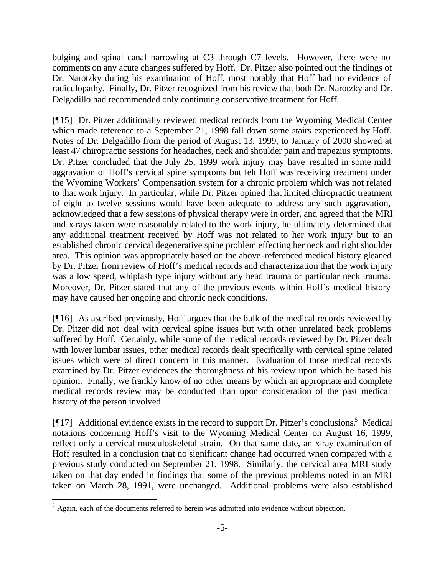bulging and spinal canal narrowing at C3 through C7 levels. However, there were no comments on any acute changes suffered by Hoff. Dr. Pitzer also pointed out the findings of Dr. Narotzky during his examination of Hoff, most notably that Hoff had no evidence of radiculopathy. Finally, Dr. Pitzer recognized from his review that both Dr. Narotzky and Dr. Delgadillo had recommended only continuing conservative treatment for Hoff.

[¶15] Dr. Pitzer additionally reviewed medical records from the Wyoming Medical Center which made reference to a September 21, 1998 fall down some stairs experienced by Hoff. Notes of Dr. Delgadillo from the period of August 13, 1999, to January of 2000 showed at least 47 chiropractic sessions for headaches, neck and shoulder pain and trapezius symptoms. Dr. Pitzer concluded that the July 25, 1999 work injury may have resulted in some mild aggravation of Hoff's cervical spine symptoms but felt Hoff was receiving treatment under the Wyoming Workers' Compensation system for a chronic problem which was not related to that work injury. In particular, while Dr. Pitzer opined that limited chiropractic treatment of eight to twelve sessions would have been adequate to address any such aggravation, acknowledged that a few sessions of physical therapy were in order, and agreed that the MRI and x-rays taken were reasonably related to the work injury, he ultimately determined that any additional treatment received by Hoff was not related to her work injury but to an established chronic cervical degenerative spine problem effecting her neck and right shoulder area. This opinion was appropriately based on the above-referenced medical history gleaned by Dr. Pitzer from review of Hoff's medical records and characterization that the work injury was a low speed, whiplash type injury without any head trauma or particular neck trauma. Moreover, Dr. Pitzer stated that any of the previous events within Hoff's medical history may have caused her ongoing and chronic neck conditions.

[¶16] As ascribed previously, Hoff argues that the bulk of the medical records reviewed by Dr. Pitzer did not deal with cervical spine issues but with other unrelated back problems suffered by Hoff. Certainly, while some of the medical records reviewed by Dr. Pitzer dealt with lower lumbar issues, other medical records dealt specifically with cervical spine related issues which were of direct concern in this manner. Evaluation of those medical records examined by Dr. Pitzer evidences the thoroughness of his review upon which he based his opinion. Finally, we frankly know of no other means by which an appropriate and complete medical records review may be conducted than upon consideration of the past medical history of the person involved.

[¶17] Additional evidence exists in the record to support Dr. Pitzer's conclusions.<sup>5</sup> Medical notations concerning Hoff's visit to the Wyoming Medical Center on August 16, 1999, reflect only a cervical musculoskeletal strain. On that same date, an x-ray examination of Hoff resulted in a conclusion that no significant change had occurred when compared with a previous study conducted on September 21, 1998. Similarly, the cervical area MRI study taken on that day ended in findings that some of the previous problems noted in an MRI taken on March 28, 1991, were unchanged. Additional problems were also established

 $<sup>5</sup>$  Again, each of the documents referred to herein was admitted into evidence without objection.</sup>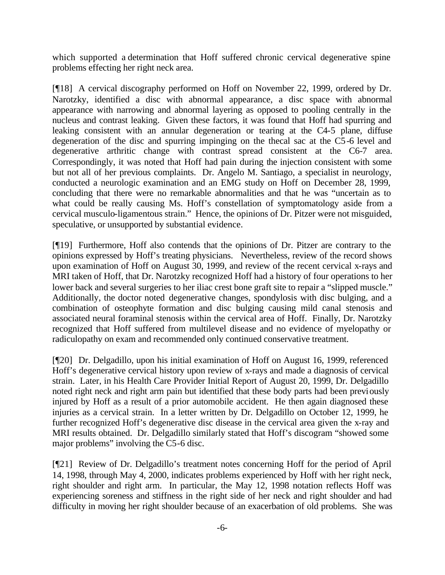which supported a determination that Hoff suffered chronic cervical degenerative spine problems effecting her right neck area.

[¶18] A cervical discography performed on Hoff on November 22, 1999, ordered by Dr. Narotzky, identified a disc with abnormal appearance, a disc space with abnormal appearance with narrowing and abnormal layering as opposed to pooling centrally in the nucleus and contrast leaking. Given these factors, it was found that Hoff had spurring and leaking consistent with an annular degeneration or tearing at the C4-5 plane, diffuse degeneration of the disc and spurring impinging on the thecal sac at the C5-6 level and degenerative arthritic change with contrast spread consistent at the C6-7 area. Correspondingly, it was noted that Hoff had pain during the injection consistent with some but not all of her previous complaints. Dr. Angelo M. Santiago, a specialist in neurology, conducted a neurologic examination and an EMG study on Hoff on December 28, 1999, concluding that there were no remarkable abnormalities and that he was "uncertain as to what could be really causing Ms. Hoff's constellation of symptomatology aside from a cervical musculo-ligamentous strain." Hence, the opinions of Dr. Pitzer were not misguided, speculative, or unsupported by substantial evidence.

[¶19] Furthermore, Hoff also contends that the opinions of Dr. Pitzer are contrary to the opinions expressed by Hoff's treating physicians. Nevertheless, review of the record shows upon examination of Hoff on August 30, 1999, and review of the recent cervical x-rays and MRI taken of Hoff, that Dr. Narotzky recognized Hoff had a history of four operations to her lower back and several surgeries to her iliac crest bone graft site to repair a "slipped muscle." Additionally, the doctor noted degenerative changes, spondylosis with disc bulging, and a combination of osteophyte formation and disc bulging causing mild canal stenosis and associated neural foraminal stenosis within the cervical area of Hoff. Finally, Dr. Narotzky recognized that Hoff suffered from multilevel disease and no evidence of myelopathy or radiculopathy on exam and recommended only continued conservative treatment.

[¶20] Dr. Delgadillo, upon his initial examination of Hoff on August 16, 1999, referenced Hoff's degenerative cervical history upon review of x-rays and made a diagnosis of cervical strain. Later, in his Health Care Provider Initial Report of August 20, 1999, Dr. Delgadillo noted right neck and right arm pain but identified that these body parts had been previously injured by Hoff as a result of a prior automobile accident. He then again diagnosed these injuries as a cervical strain. In a letter written by Dr. Delgadillo on October 12, 1999, he further recognized Hoff's degenerative disc disease in the cervical area given the x-ray and MRI results obtained. Dr. Delgadillo similarly stated that Hoff's discogram "showed some major problems" involving the C5-6 disc.

[¶21] Review of Dr. Delgadillo's treatment notes concerning Hoff for the period of April 14, 1998, through May 4, 2000, indicates problems experienced by Hoff with her right neck, right shoulder and right arm. In particular, the May 12, 1998 notation reflects Hoff was experiencing soreness and stiffness in the right side of her neck and right shoulder and had difficulty in moving her right shoulder because of an exacerbation of old problems. She was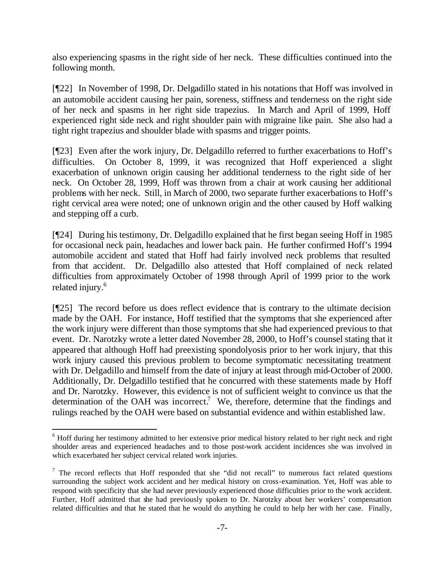also experiencing spasms in the right side of her neck. These difficulties continued into the following month.

[¶22] In November of 1998, Dr. Delgadillo stated in his notations that Hoff was involved in an automobile accident causing her pain, soreness, stiffness and tenderness on the right side of her neck and spasms in her right side trapezius. In March and April of 1999, Hoff experienced right side neck and right shoulder pain with migraine like pain. She also had a tight right trapezius and shoulder blade with spasms and trigger points.

[¶23] Even after the work injury, Dr. Delgadillo referred to further exacerbations to Hoff's difficulties. On October 8, 1999, it was recognized that Hoff experienced a slight exacerbation of unknown origin causing her additional tenderness to the right side of her neck. On October 28, 1999, Hoff was thrown from a chair at work causing her additional problems with her neck. Still, in March of 2000, two separate further exacerbations to Hoff's right cervical area were noted; one of unknown origin and the other caused by Hoff walking and stepping off a curb.

[¶24] During his testimony, Dr. Delgadillo explained that he first began seeing Hoff in 1985 for occasional neck pain, headaches and lower back pain. He further confirmed Hoff's 1994 automobile accident and stated that Hoff had fairly involved neck problems that resulted from that accident. Dr. Delgadillo also attested that Hoff complained of neck related difficulties from approximately October of 1998 through April of 1999 prior to the work related injury.<sup>6</sup>

[¶25] The record before us does reflect evidence that is contrary to the ultimate decision made by the OAH. For instance, Hoff testified that the symptoms that she experienced after the work injury were different than those symptoms that she had experienced previous to that event. Dr. Narotzky wrote a letter dated November 28, 2000, to Hoff's counsel stating that it appeared that although Hoff had preexisting spondolyosis prior to her work injury, that this work injury caused this previous problem to become symptomatic necessitating treatment with Dr. Delgadillo and himself from the date of injury at least through mid-October of 2000. Additionally, Dr. Delgadillo testified that he concurred with these statements made by Hoff and Dr. Narotzky. However, this evidence is not of sufficient weight to convince us that the determination of the OAH was incorrect.<sup>7</sup> We, therefore, determine that the findings and rulings reached by the OAH were based on substantial evidence and within established law.

<sup>&</sup>lt;sup>6</sup> Hoff during her testimony admitted to her extensive prior medical history related to her right neck and right shoulder areas and experienced headaches and to those post-work accident incidences she was involved in which exacerbated her subject cervical related work injuries.

 $<sup>7</sup>$  The record reflects that Hoff responded that she "did not recall" to numerous fact related questions</sup> surrounding the subject work accident and her medical history on cross-examination. Yet, Hoff was able to respond with specificity that she had never previously experienced those difficulties prior to the work accident. Further, Hoff admitted that she had previously spoken to Dr. Narotzky about her workers' compensation related difficulties and that he stated that he would do anything he could to help her with her case. Finally,